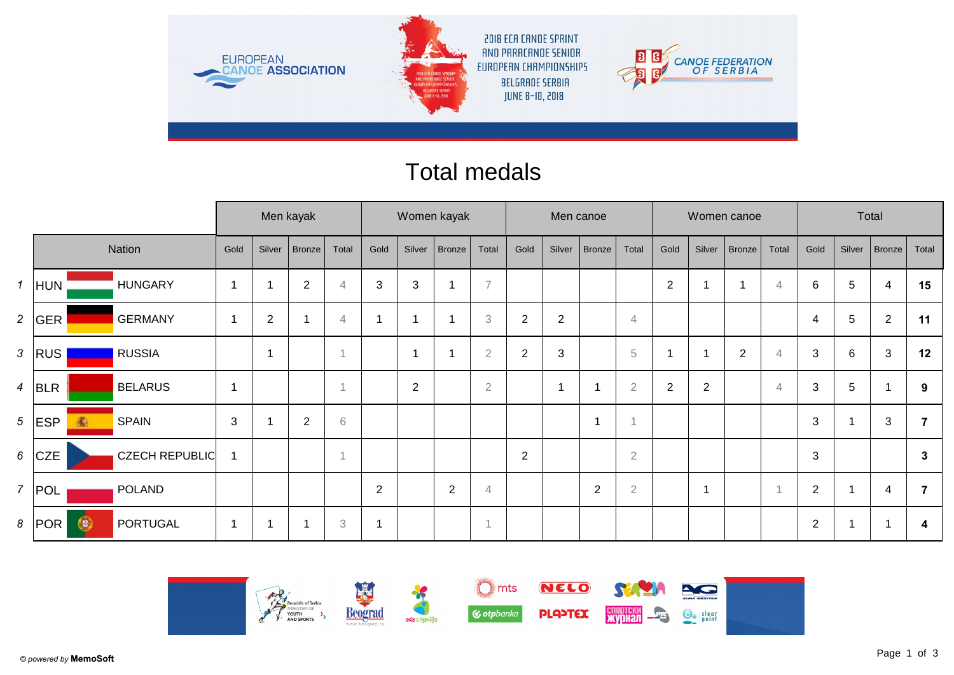

## Total medals

|                  |              |                       | Men kayak      |                |                |                | Women kayak             |                |                |                | Men canoe      |                |                |                |                |                         | Women canoe |                | Total          |        |                |                |
|------------------|--------------|-----------------------|----------------|----------------|----------------|----------------|-------------------------|----------------|----------------|----------------|----------------|----------------|----------------|----------------|----------------|-------------------------|-------------|----------------|----------------|--------|----------------|----------------|
|                  |              | Nation                | Gold           | Silver         | Bronze         | Total          | Gold                    | Silver         | <b>Bronze</b>  | Total          | Gold           | Silver         | <b>Bronze</b>  | Total          | Gold           | Silver                  | Bronze      | Total          | Gold           | Silver | Bronze         | Total          |
| $\mathbf{1}$     | HUN          | <b>HUNGARY</b>        |                |                | $\overline{2}$ | $\overline{4}$ | 3                       | $\mathbf{3}$   |                | $\overline{7}$ |                |                |                |                | $\mathbf{2}$   |                         |             | $\overline{4}$ | 6              | 5      | $\overline{4}$ | 15             |
| 2 <sup>7</sup>   | GER          | <b>GERMANY</b>        |                | 2              |                | $\overline{4}$ | $\overline{\mathbf{1}}$ |                |                | 3              | $\overline{2}$ | $\overline{2}$ |                | $\overline{4}$ |                |                         |             |                | 4              | 5      | $\overline{2}$ | 11             |
| $\mathfrak{Z}$   | <b>RUS</b>   | <b>RUSSIA</b>         |                | $\overline{ }$ |                | $\overline{A}$ |                         | -4             |                | $\overline{2}$ | $\overline{2}$ | 3              |                | $\,$ 5         |                |                         | $\mathbf 2$ | $\overline{4}$ | 3              | 6      | 3              | 12             |
| $\overline{4}$   | BLR          | <b>BELARUS</b>        |                |                |                |                |                         | $\overline{2}$ |                | $\overline{2}$ |                | -1             |                | $\overline{2}$ | $\overline{2}$ | $\overline{2}$          |             | $\overline{4}$ | 3              | 5      |                | 9              |
|                  | $5$ ESP<br>鵆 | <b>SPAIN</b>          | $\mathfrak{S}$ |                | $\mathbf 2$    | $\,$ 6 $\,$    |                         |                |                |                |                |                | 1              |                |                |                         |             |                | 3              |        | 3              | $\overline{7}$ |
| $6\overline{6}$  | <b>CZE</b>   | <b>CZECH REPUBLIC</b> |                |                |                | $\overline{1}$ |                         |                |                |                | $\overline{2}$ |                |                | $\sqrt{2}$     |                |                         |             |                | $\sqrt{3}$     |        |                | $\mathbf{3}$   |
| $\overline{7}$   | POL          | <b>POLAND</b>         |                |                |                |                | 2                       |                | $\overline{2}$ | $\overline{4}$ |                |                | $\overline{2}$ | $\sqrt{2}$     |                | $\overline{\mathbf{1}}$ |             |                | $\overline{2}$ |        | 4              | $\overline{7}$ |
| $\boldsymbol{8}$ | G<br> POR    | PORTUGAL              |                |                |                | $\,3$          | $\overline{ }$          |                |                | 1              |                |                |                |                |                |                         |             |                | $\overline{2}$ |        |                | 4              |

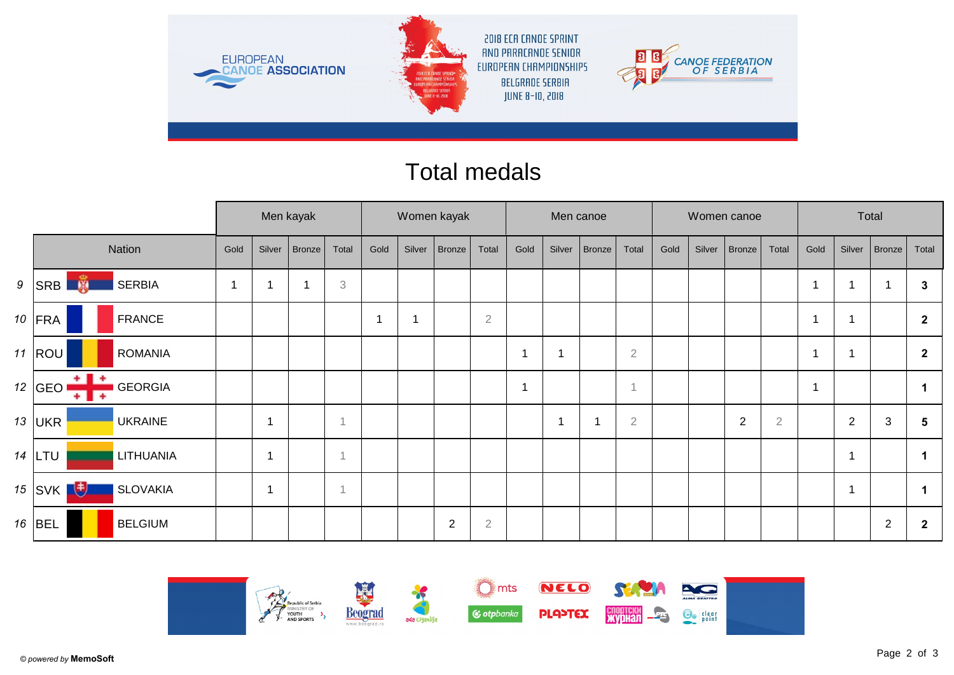

## Total medals

|  |                                                     |             | Men kayak                |        |                           |      | Women kayak |             |                |                         |                | Men canoe     |                |      |        | Women canoe |                | Total |                |                |                |
|--|-----------------------------------------------------|-------------|--------------------------|--------|---------------------------|------|-------------|-------------|----------------|-------------------------|----------------|---------------|----------------|------|--------|-------------|----------------|-------|----------------|----------------|----------------|
|  | Nation                                              | Gold        | Silver                   | Bronze | Total                     | Gold | Silver      | Bronze      | Total          | Gold                    | Silver         | <b>Bronze</b> | Total          | Gold | Silver | Bronze      | Total          | Gold  | Silver         | Bronze         | Total          |
|  | $\frac{1}{2}$<br>$9$ SRB<br><b>SERBIA</b><br>Ξ      | $\mathbf 1$ |                          |        | $\ensuremath{\mathbf{3}}$ |      |             |             |                |                         |                |               |                |      |        |             |                |       | 1              |                | $\mathbf{3}$   |
|  | 10 $ FRA$<br><b>FRANCE</b>                          |             |                          |        |                           | -1   |             |             | $\overline{2}$ |                         |                |               |                |      |        |             |                |       | 1              |                | $\mathbf{2}$   |
|  | 11 $ ROU$<br><b>ROMANIA</b>                         |             |                          |        |                           |      |             |             |                | $\overline{\mathbf{1}}$ | f              |               | $\overline{2}$ |      |        |             |                |       | 1              |                | $\overline{2}$ |
|  | $+ +$<br>12 GEO $\prime$<br><b>GEORGIA</b><br>$+1+$ |             |                          |        |                           |      |             |             |                | $\overline{1}$          |                |               | $\overline{1}$ |      |        |             |                |       |                |                |                |
|  | 13 $ UKR$<br><b>UKRAINE</b>                         |             | -4                       |        |                           |      |             |             |                |                         | $\overline{1}$ |               | $\overline{2}$ |      |        | 2           | $\overline{2}$ |       | $\overline{2}$ | 3              | 5              |
|  | $14$ LTU<br>LITHUANIA                               |             | $\overline{\phantom{a}}$ |        |                           |      |             |             |                |                         |                |               |                |      |        |             |                |       | 1              |                | $\mathbf 1$    |
|  | 15 SVK $\mathbf{E}$<br><b>SLOVAKIA</b>              |             | -4                       |        |                           |      |             |             |                |                         |                |               |                |      |        |             |                |       | $\mathbf 1$    |                |                |
|  | $16$ BEL<br><b>BELGIUM</b>                          |             |                          |        |                           |      |             | $\mathbf 2$ | $\sqrt{2}$     |                         |                |               |                |      |        |             |                |       |                | $\overline{2}$ | $\mathbf{2}$   |